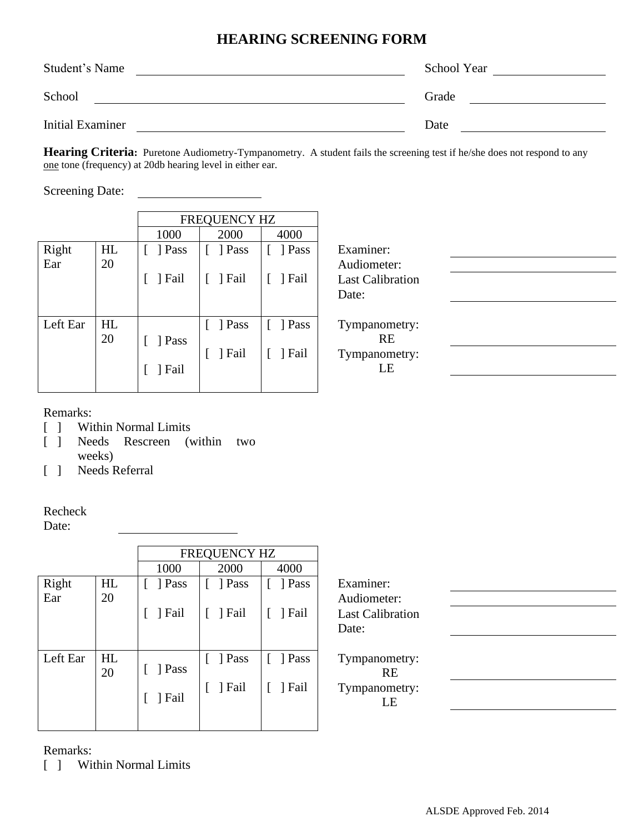## **HEARING SCREENING FORM**

| Student's Name          | School Year |
|-------------------------|-------------|
| School                  | Grade       |
| <b>Initial Examiner</b> | Date        |

**Hearing Criteria:** Puretone Audiometry-Tympanometry. A student fails the screening test if he/she does not respond to any one tone (frequency) at 20db hearing level in either ear.

Screening Date:

|          |    |      | FREQUENCY HZ |        |                         |  |
|----------|----|------|--------------|--------|-------------------------|--|
|          |    | 1000 | 2000         | 4000   |                         |  |
| Right    | HL | Pass | Pass         | Pass   | Examiner:               |  |
| Ear      | 20 |      |              |        | Audiometer:             |  |
|          |    | Fail | Fail         | Fail   | <b>Last Calibration</b> |  |
|          |    |      |              |        | Date:                   |  |
|          |    |      |              |        |                         |  |
| Left Ear | HL |      | Pass         | ] Pass | Tympanometry:           |  |
|          | 20 | Pass |              |        | <b>RE</b>               |  |
|          |    |      | Fail         | Fail   | Tympanometry:           |  |
|          |    | Fail |              |        | LE                      |  |
|          |    |      |              |        |                         |  |

## Remarks:

- [ ] Within Normal Limits
- [ ] Needs Rescreen (within two weeks)

[ ] Needs Referral

## Recheck

Date:

|          |    | FREQUENCY HZ |                        |            |                         |  |  |  |
|----------|----|--------------|------------------------|------------|-------------------------|--|--|--|
|          |    | 1000         | 2000                   | 4000       |                         |  |  |  |
| Right    | HL | ] Pass       | ] Pass                 | ] Pass     | Examiner:               |  |  |  |
| Ear      | 20 |              |                        |            | Audiometer:             |  |  |  |
|          |    | ] Fail       | ] Fail                 | ] Fail     | <b>Last Calibration</b> |  |  |  |
|          |    |              |                        |            | Date:                   |  |  |  |
|          |    |              |                        |            |                         |  |  |  |
| Left Ear | HL |              | $\lceil \ \rceil$ Pass | $[$ ] Pass | Tympanometry:           |  |  |  |
|          | 20 | ] Pass       |                        |            | <b>RE</b>               |  |  |  |
|          |    |              | $[$ [ $]$ Fail         | ] Fail     | Tympanometry:           |  |  |  |
|          |    | ] Fail       |                        |            | LE                      |  |  |  |
|          |    |              |                        |            |                         |  |  |  |
|          |    |              |                        |            |                         |  |  |  |

Remarks:

[ ] Within Normal Limits